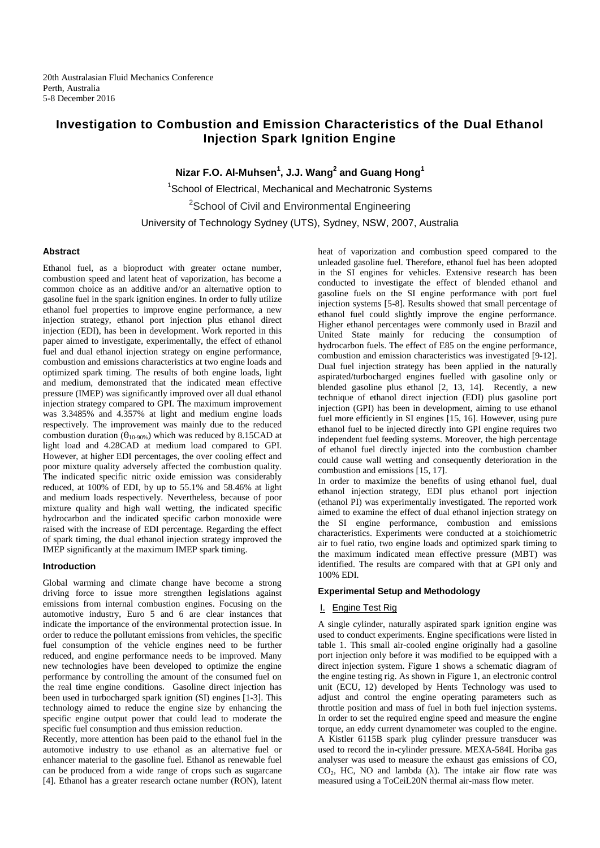# **Investigation to Combustion and Emission Characteristics of the Dual Ethanol Injection Spark Ignition Engine**

**Nizar F.O. Al-Muhsen<sup>1</sup> , J.J. Wang<sup>2</sup> and Guang Hong<sup>1</sup>**

<sup>1</sup>School of Electrical, Mechanical and Mechatronic Systems <sup>2</sup>School of Civil and Environmental Engineering University of Technology Sydney (UTS), Sydney, NSW, 2007, Australia

# **Abstract**

Ethanol fuel, as a bioproduct with greater octane number, combustion speed and latent heat of vaporization, has become a common choice as an additive and/or an alternative option to gasoline fuel in the spark ignition engines. In order to fully utilize ethanol fuel properties to improve engine performance, a new injection strategy, ethanol port injection plus ethanol direct injection (EDI), has been in development. Work reported in this paper aimed to investigate, experimentally, the effect of ethanol fuel and dual ethanol injection strategy on engine performance, combustion and emissions characteristics at two engine loads and optimized spark timing. The results of both engine loads, light and medium, demonstrated that the indicated mean effective pressure (IMEP) was significantly improved over all dual ethanol injection strategy compared to GPI. The maximum improvement was 3.3485% and 4.357% at light and medium engine loads respectively. The improvement was mainly due to the reduced combustion duration ( $\theta_{10-90\%}$ ) which was reduced by 8.15CAD at light load and 4.28CAD at medium load compared to GPI. However, at higher EDI percentages, the over cooling effect and poor mixture quality adversely affected the combustion quality. The indicated specific nitric oxide emission was considerably reduced, at 100% of EDI, by up to 55.1% and 58.46% at light and medium loads respectively. Nevertheless, because of poor mixture quality and high wall wetting, the indicated specific hydrocarbon and the indicated specific carbon monoxide were raised with the increase of EDI percentage. Regarding the effect of spark timing, the dual ethanol injection strategy improved the IMEP significantly at the maximum IMEP spark timing.

# **Introduction**

Global warming and climate change have become a strong driving force to issue more strengthen legislations against emissions from internal combustion engines. Focusing on the automotive industry, Euro 5 and 6 are clear instances that indicate the importance of the environmental protection issue. In order to reduce the pollutant emissions from vehicles, the specific fuel consumption of the vehicle engines need to be further reduced, and engine performance needs to be improved. Many new technologies have been developed to optimize the engine performance by controlling the amount of the consumed fuel on the real time engine conditions. Gasoline direct injection has been used in turbocharged spark ignition (SI) engines [\[1-3\]](#page-3-0). This technology aimed to reduce the engine size by enhancing the specific engine output power that could lead to moderate the specific fuel consumption and thus emission reduction.

Recently, more attention has been paid to the ethanol fuel in the automotive industry to use ethanol as an alternative fuel or enhancer material to the gasoline fuel. Ethanol as renewable fuel can be produced from a wide range of crops such as sugarcane [\[4\]](#page-3-1). Ethanol has a greater research octane number (RON), latent heat of vaporization and combustion speed compared to the unleaded gasoline fuel. Therefore, ethanol fuel has been adopted in the SI engines for vehicles. Extensive research has been conducted to investigate the effect of blended ethanol and gasoline fuels on the SI engine performance with port fuel injection systems [\[5-8\]](#page-3-2). Results showed that small percentage of ethanol fuel could slightly improve the engine performance. Higher ethanol percentages were commonly used in Brazil and United State mainly for reducing the consumption of hydrocarbon fuels. The effect of E85 on the engine performance, combustion and emission characteristics was investigated [\[9-12\]](#page-3-3). Dual fuel injection strategy has been applied in the naturally aspirated/turbocharged engines fuelled with gasoline only or blended gasoline plus ethanol [\[2,](#page-3-4) [13,](#page-3-5) [14\]](#page-3-6). Recently, a new technique of ethanol direct injection (EDI) plus gasoline port injection (GPI) has been in development, aiming to use ethanol fuel more efficiently in SI engines [\[15,](#page-3-7) [16\]](#page-3-8). However, using pure ethanol fuel to be injected directly into GPI engine requires two independent fuel feeding systems. Moreover, the high percentage of ethanol fuel directly injected into the combustion chamber could cause wall wetting and consequently deterioration in the combustion and emissions [\[15,](#page-3-7) [17\]](#page-3-9).

In order to maximize the benefits of using ethanol fuel, dual ethanol injection strategy, EDI plus ethanol port injection (ethanol PI) was experimentally investigated. The reported work aimed to examine the effect of dual ethanol injection strategy on the SI engine performance, combustion and emissions characteristics. Experiments were conducted at a stoichiometric air to fuel ratio, two engine loads and optimized spark timing to the maximum indicated mean effective pressure (MBT) was identified. The results are compared with that at GPI only and 100% EDI.

# **Experimental Setup and Methodology**

## I. Engine Test Rig

A single cylinder, naturally aspirated spark ignition engine was used to conduct experiments. Engine specifications were listed in table 1. This small air-cooled engine originally had a gasoline port injection only before it was modified to be equipped with a direct injection system. Figure 1 shows a schematic diagram of the engine testing rig. As shown in Figure 1, an electronic control unit (ECU, 12) developed by Hents Technology was used to adjust and control the engine operating parameters such as throttle position and mass of fuel in both fuel injection systems. In order to set the required engine speed and measure the engine torque, an eddy current dynamometer was coupled to the engine. A Kistler 6115B spark plug cylinder pressure transducer was used to record the in-cylinder pressure. MEXA-584L Horiba gas analyser was used to measure the exhaust gas emissions of CO, CO<sub>2</sub>, HC, NO and lambda ( $\lambda$ ). The intake air flow rate was measured using a ToCeiL20N thermal air-mass flow meter.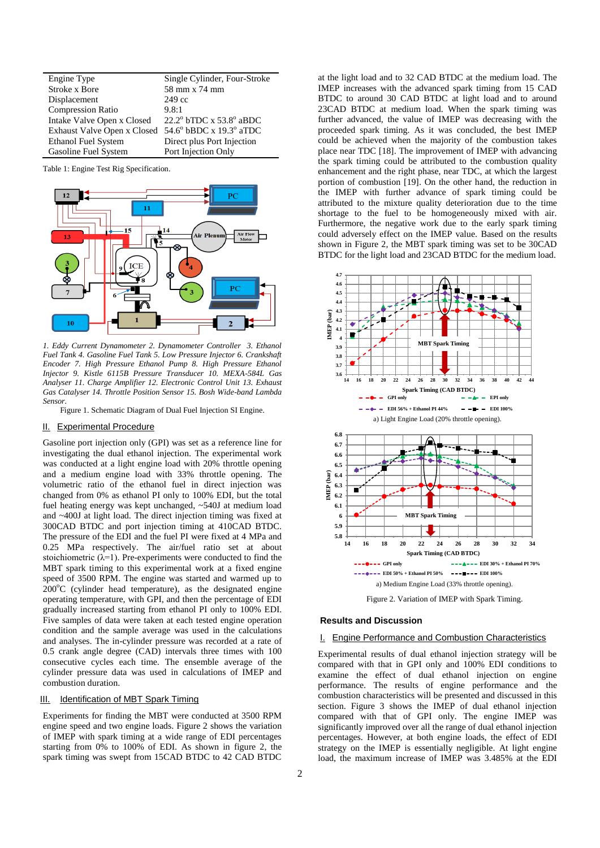| Engine Type                                         | Single Cylinder, Four-Stroke               |
|-----------------------------------------------------|--------------------------------------------|
| Stroke x Bore                                       | 58 mm x 74 mm                              |
| Displacement                                        | 249 cc                                     |
| <b>Compression Ratio</b>                            | 9.8:1                                      |
| Intake Valve Open x Closed                          | $22.2^{\circ}$ bTDC x 53.8 $^{\circ}$ aBDC |
| Exhaust Valve Open x Closed 54.6° bBDC x 19.3° aTDC |                                            |
| Ethanol Fuel System                                 | Direct plus Port Injection                 |
| Gasoline Fuel System                                | Port Injection Only                        |

Table 1: Engine Test Rig Specification.



*1. Eddy Current Dynamometer 2. Dynamometer Controller 3. Ethanol Fuel Tank 4. Gasoline Fuel Tank 5. Low Pressure Injector 6. Crankshaft Encoder 7. High Pressure Ethanol Pump 8. High Pressure Ethanol Injector 9. Kistle 6115B Pressure Transducer 10. MEXA-584L Gas Analyser 11. Charge Amplifier 12. Electronic Control Unit 13. Exhaust Gas Catalyser 14. Throttle Position Sensor 15. Bosh Wide-band Lambda Sensor.*

Figure 1. Schematic Diagram of Dual Fuel Injection SI Engine.

#### II. Experimental Procedure

Gasoline port injection only (GPI) was set as a reference line for investigating the dual ethanol injection. The experimental work was conducted at a light engine load with 20% throttle opening and a medium engine load with 33% throttle opening. The volumetric ratio of the ethanol fuel in direct injection was changed from 0% as ethanol PI only to 100% EDI, but the total fuel heating energy was kept unchanged, ~540J at medium load and ~400J at light load. The direct injection timing was fixed at 300CAD BTDC and port injection timing at 410CAD BTDC. The pressure of the EDI and the fuel PI were fixed at 4 MPa and 0.25 MPa respectively. The air/fuel ratio set at about stoichiometric  $(\lambda=1)$ . Pre-experiments were conducted to find the MBT spark timing to this experimental work at a fixed engine speed of 3500 RPM. The engine was started and warmed up to  $200^{\circ}$ C (cylinder head temperature), as the designated engine operating temperature, with GPI, and then the percentage of EDI gradually increased starting from ethanol PI only to 100% EDI. Five samples of data were taken at each tested engine operation condition and the sample average was used in the calculations and analyses. The in-cylinder pressure was recorded at a rate of 0.5 crank angle degree (CAD) intervals three times with 100 consecutive cycles each time. The ensemble average of the cylinder pressure data was used in calculations of IMEP and combustion duration.

# **III.** Identification of MBT Spark Timing

Experiments for finding the MBT were conducted at 3500 RPM engine speed and two engine loads. Figure 2 shows the variation of IMEP with spark timing at a wide range of EDI percentages starting from 0% to 100% of EDI. As shown in figure 2, the spark timing was swept from 15CAD BTDC to 42 CAD BTDC

at the light load and to 32 CAD BTDC at the medium load. The IMEP increases with the advanced spark timing from 15 CAD BTDC to around 30 CAD BTDC at light load and to around 23CAD BTDC at medium load. When the spark timing was further advanced, the value of IMEP was decreasing with the proceeded spark timing. As it was concluded, the best IMEP could be achieved when the majority of the combustion takes place near TDC [\[18\]](#page-3-10). The improvement of IMEP with advancing the spark timing could be attributed to the combustion quality enhancement and the right phase, near TDC, at which the largest portion of combustion [\[19\]](#page-3-11). On the other hand, the reduction in the IMEP with further advance of spark timing could be attributed to the mixture quality deterioration due to the time shortage to the fuel to be homogeneously mixed with air. Furthermore, the negative work due to the early spark timing could adversely effect on the IMEP value. Based on the results shown in Figure 2, the MBT spark timing was set to be 30CAD BTDC for the light load and 23CAD BTDC for the medium load.



### **Results and Discussion**

#### I. Engine Performance and Combustion Characteristics

Experimental results of dual ethanol injection strategy will be compared with that in GPI only and 100% EDI conditions to examine the effect of dual ethanol injection on engine performance. The results of engine performance and the combustion characteristics will be presented and discussed in this section. Figure 3 shows the IMEP of dual ethanol injection compared with that of GPI only. The engine IMEP was significantly improved over all the range of dual ethanol injection percentages. However, at both engine loads, the effect of EDI strategy on the IMEP is essentially negligible. At light engine load, the maximum increase of IMEP was 3.485% at the EDI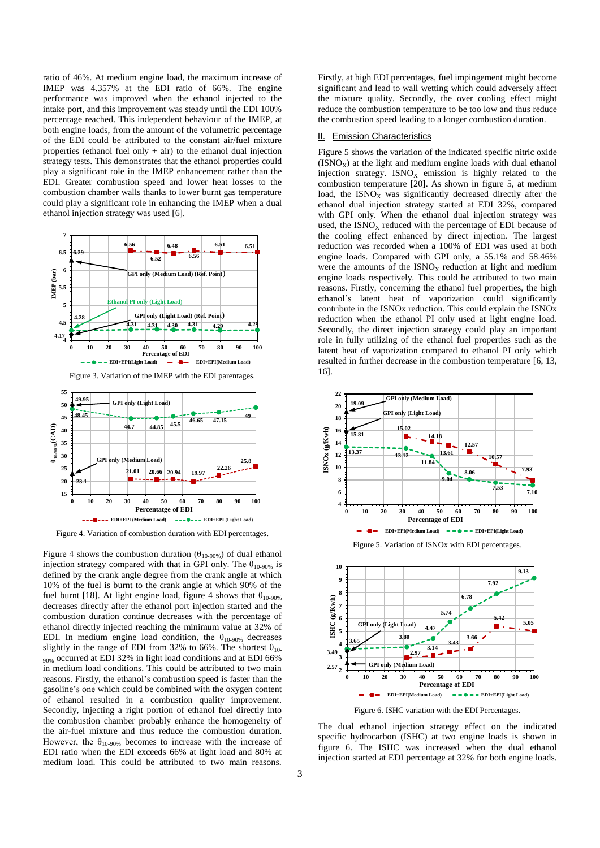ratio of 46%. At medium engine load, the maximum increase of IMEP was 4.357% at the EDI ratio of 66%. The engine performance was improved when the ethanol injected to the intake port, and this improvement was steady until the EDI 100% percentage reached. This independent behaviour of the IMEP, at both engine loads, from the amount of the volumetric percentage of the EDI could be attributed to the constant air/fuel mixture properties (ethanol fuel only  $+$  air) to the ethanol dual injection strategy tests. This demonstrates that the ethanol properties could play a significant role in the IMEP enhancement rather than the EDI. Greater combustion speed and lower heat losses to the combustion chamber walls thanks to lower burnt gas temperature could play a significant role in enhancing the IMEP when a dual ethanol injection strategy was used [\[6\]](#page-3-12).



Figure 3. Variation of the IMEP with the EDI parentages.



Figure 4. Variation of combustion duration with EDI percentages.

Figure 4 shows the combustion duration ( $\theta_{10-90\%}$ ) of dual ethanol injection strategy compared with that in GPI only. The  $\theta_{10-90\%}$  is defined by the crank angle degree from the crank angle at which 10% of the fuel is burnt to the crank angle at which 90% of the fuel burnt [\[18\]](#page-3-10). At light engine load, figure 4 shows that  $\theta_{10-90\%}$ decreases directly after the ethanol port injection started and the combustion duration continue decreases with the percentage of ethanol directly injected reaching the minimum value at 32% of EDI. In medium engine load condition, the  $\theta_{10-90\%}$  decreases slightly in the range of EDI from 32% to 66%. The shortest  $\theta_{10}$ -90% occurred at EDI 32% in light load conditions and at EDI 66% in medium load conditions. This could be attributed to two main reasons. Firstly, the ethanol's combustion speed is faster than the gasoline's one which could be combined with the oxygen content of ethanol resulted in a combustion quality improvement. Secondly, injecting a right portion of ethanol fuel directly into the combustion chamber probably enhance the homogeneity of the air-fuel mixture and thus reduce the combustion duration. However, the  $\theta_{10-90\%}$  becomes to increase with the increase of EDI ratio when the EDI exceeds 66% at light load and 80% at medium load. This could be attributed to two main reasons.

Firstly, at high EDI percentages, fuel impingement might become significant and lead to wall wetting which could adversely affect the mixture quality. Secondly, the over cooling effect might reduce the combustion temperature to be too low and thus reduce the combustion speed leading to a longer combustion duration.

## II. Emission Characteristics

Figure 5 shows the variation of the indicated specific nitric oxide  $(ISNO<sub>x</sub>)$  at the light and medium engine loads with dual ethanol injection strategy.  $ISNO<sub>x</sub>$  emission is highly related to the combustion temperature [\[20\]](#page-3-13). As shown in figure 5, at medium load, the  $ISNO<sub>X</sub>$  was significantly decreased directly after the ethanol dual injection strategy started at EDI 32%, compared with GPI only. When the ethanol dual injection strategy was used, the  $ISNO<sub>X</sub>$  reduced with the percentage of EDI because of the cooling effect enhanced by direct injection. The largest reduction was recorded when a 100% of EDI was used at both engine loads. Compared with GPI only, a 55.1% and 58.46% were the amounts of the  $ISNO<sub>X</sub>$  reduction at light and medium engine loads respectively. This could be attributed to two main reasons. Firstly, concerning the ethanol fuel properties, the high ethanol's latent heat of vaporization could significantly contribute in the ISNOx reduction. This could explain the ISNOx reduction when the ethanol PI only used at light engine load. Secondly, the direct injection strategy could play an important role in fully utilizing of the ethanol fuel properties such as the latent heat of vaporization compared to ethanol PI only which resulted in further decrease in the combustion temperature [\[6,](#page-3-12) [13,](#page-3-5)  [16\]](#page-3-8).



Figure 6. ISHC variation with the EDI Percentages.

The dual ethanol injection strategy effect on the indicated specific hydrocarbon (ISHC) at two engine loads is shown in figure 6. The ISHC was increased when the dual ethanol injection started at EDI percentage at 32% for both engine loads.